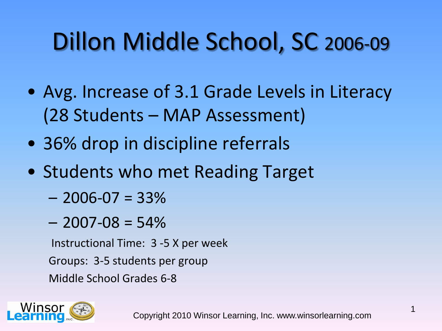# Dillon Middle School, SC 2006-09

- Avg. Increase of 3.1 Grade Levels in Literacy (28 Students – MAP Assessment)
- 36% drop in discipline referrals
- Students who met Reading Target
	- $-2006 07 = 33\%$
	- $-2007 08 = 54\%$

Instructional Time: 3 -5 X per week

Groups: 3-5 students per group

Middle School Grades 6-8

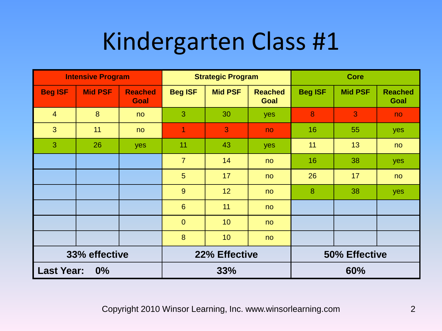| <b>Intensive Program</b>   |                |                        |                | <b>Strategic Program</b> |                               | <b>Core</b>    |                |                        |
|----------------------------|----------------|------------------------|----------------|--------------------------|-------------------------------|----------------|----------------|------------------------|
| <b>Beg ISF</b>             | <b>Mid PSF</b> | <b>Reached</b><br>Goal | <b>Beg ISF</b> | <b>Mid PSF</b>           | <b>Reached</b><br><b>Goal</b> | <b>Beg ISF</b> | <b>Mid PSF</b> | <b>Reached</b><br>Goal |
| $\overline{4}$             | 8              | no                     | 3              | 30                       | yes                           | 8              | 3              | no                     |
| 3                          | 11             | no                     | 1              | 3                        | no.                           | 16             | 55             | yes                    |
| 3                          | 26             | yes                    | 11             | 43                       | yes                           | 11             | 13             | no                     |
|                            |                |                        | $\overline{7}$ | 14                       | no                            | 16             | 38             | yes                    |
|                            |                |                        | 5              | 17                       | no                            | 26             | 17             | no                     |
|                            |                |                        | 9              | 12 <sub>2</sub>          | no                            | 8              | 38             | yes                    |
|                            |                |                        | $6\phantom{1}$ | 11                       | no                            |                |                |                        |
|                            |                |                        | $\overline{0}$ | 10                       | no                            |                |                |                        |
|                            |                |                        | 8              | 10                       | no                            |                |                |                        |
| 33% effective              |                |                        |                | 22% Effective            |                               | 50% Effective  |                |                        |
| <b>Last Year:</b><br>$0\%$ |                |                        |                | 33%                      |                               |                | 60%            |                        |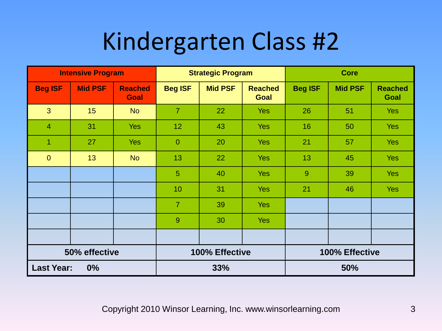| <b>Intensive Program</b> |                |                        |                 | <b>Strategic Program</b> |                               | <b>Core</b>    |                |                        |
|--------------------------|----------------|------------------------|-----------------|--------------------------|-------------------------------|----------------|----------------|------------------------|
| <b>Beg ISF</b>           | <b>Mid PSF</b> | <b>Reached</b><br>Goal | <b>Beg ISF</b>  | <b>Mid PSF</b>           | <b>Reached</b><br><b>Goal</b> | <b>Beg ISF</b> | <b>Mid PSF</b> | <b>Reached</b><br>Goal |
| 3                        | 15             | <b>No</b>              | $\overline{7}$  | 22                       | <b>Yes</b>                    | 26             | 51             | <b>Yes</b>             |
| $\overline{4}$           | 31             | <b>Yes</b>             | 12 <sub>2</sub> | 43                       | <b>Yes</b>                    | 16             | 50             | <b>Yes</b>             |
| 1                        | 27             | <b>Yes</b>             | $\mathbf{0}$    | 20                       | <b>Yes</b>                    | 21             | 57             | <b>Yes</b>             |
| $\overline{0}$           | 13             | <b>No</b>              | 13              | 22                       | <b>Yes</b>                    | 13             | 45             | <b>Yes</b>             |
|                          |                |                        | $\overline{5}$  | 40                       | <b>Yes</b>                    | 9              | 39             | <b>Yes</b>             |
|                          |                |                        | 10              | 31                       | <b>Yes</b>                    | 21             | 46             | <b>Yes</b>             |
|                          |                |                        | $\overline{7}$  | 39                       | <b>Yes</b>                    |                |                |                        |
|                          |                |                        | 9               | 30                       | <b>Yes</b>                    |                |                |                        |
|                          |                |                        |                 |                          |                               |                |                |                        |
| 50% effective            |                |                        |                 | 100% Effective           |                               | 100% Effective |                |                        |
| <b>Last Year:</b><br>0%  |                |                        |                 | 33%                      |                               |                | 50%            |                        |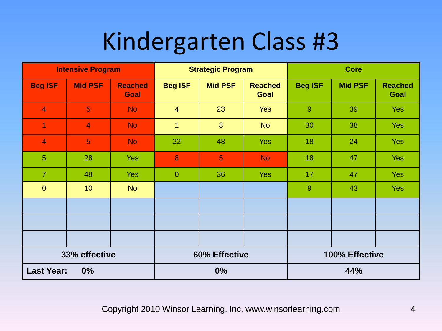| <b>Intensive Program</b> |                |                        |                | <b>Strategic Program</b> |                               | <b>Core</b>    |                |                        |
|--------------------------|----------------|------------------------|----------------|--------------------------|-------------------------------|----------------|----------------|------------------------|
| <b>Beg ISF</b>           | <b>Mid PSF</b> | <b>Reached</b><br>Goal | <b>Beg ISF</b> | <b>Mid PSF</b>           | <b>Reached</b><br><b>Goal</b> | <b>Beg ISF</b> | <b>Mid PSF</b> | <b>Reached</b><br>Goal |
| $\overline{4}$           | 5 <sup>5</sup> | <b>No</b>              | $\overline{4}$ | 23                       | <b>Yes</b>                    | 9              | 39             | <b>Yes</b>             |
| $\overline{1}$           | $\overline{4}$ | <b>No</b>              | $\mathbf 1$    | 8                        | <b>No</b>                     | 30             | 38             | <b>Yes</b>             |
| $\overline{\mathbf{4}}$  | 5              | <b>No</b>              | 22             | 48                       | <b>Yes</b>                    | 18             | 24             | <b>Yes</b>             |
| $5\phantom{.}$           | 28             | <b>Yes</b>             | 8              | 5                        | <b>No</b>                     | 18             | 47             | <b>Yes</b>             |
| $\overline{7}$           | 48             | <b>Yes</b>             | $\theta$       | 36                       | <b>Yes</b>                    | 17             | 47             | <b>Yes</b>             |
| $\mathbf{0}$             | 10             | <b>No</b>              |                |                          |                               | 9              | 43             | <b>Yes</b>             |
|                          |                |                        |                |                          |                               |                |                |                        |
|                          |                |                        |                |                          |                               |                |                |                        |
|                          |                |                        |                |                          |                               |                |                |                        |
| 33% effective            |                |                        |                | 60% Effective            |                               | 100% Effective |                |                        |
| <b>Last Year:</b><br>0%  |                |                        |                | 0%                       |                               |                | 44%            |                        |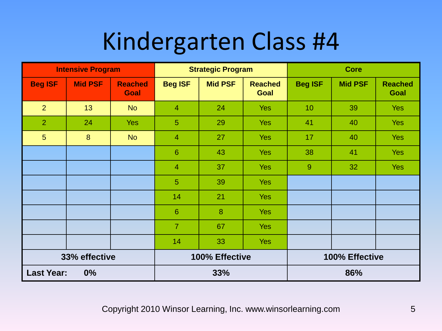| <b>Intensive Program</b> |                |                        |                 | <b>Strategic Program</b> |                        |                | <b>Core</b>    |                        |  |
|--------------------------|----------------|------------------------|-----------------|--------------------------|------------------------|----------------|----------------|------------------------|--|
| <b>Beg ISF</b>           | <b>Mid PSF</b> | <b>Reached</b><br>Goal | <b>Beg ISF</b>  | <b>Mid PSF</b>           | <b>Reached</b><br>Goal | <b>Beg ISF</b> | <b>Mid PSF</b> | <b>Reached</b><br>Goal |  |
| $\overline{2}$           | 13             | <b>No</b>              | $\overline{4}$  | 24                       | <b>Yes</b>             | 10             | 39             | <b>Yes</b>             |  |
| $\overline{2}$           | 24             | <b>Yes</b>             | $5\phantom{1}$  | 29                       | <b>Yes</b>             | 41             | 40             | <b>Yes</b>             |  |
| $5\phantom{.}$           | 8              | <b>No</b>              | $\overline{4}$  | 27                       | <b>Yes</b>             | 17             | 40             | Yes                    |  |
|                          |                |                        | 6               | 43                       | <b>Yes</b>             | 38             | 41             | <b>Yes</b>             |  |
|                          |                |                        | $\overline{4}$  | 37                       | <b>Yes</b>             | 9              | 32             | <b>Yes</b>             |  |
|                          |                |                        | $\overline{5}$  | 39                       | <b>Yes</b>             |                |                |                        |  |
|                          |                |                        | 14              | 21                       | <b>Yes</b>             |                |                |                        |  |
|                          |                |                        | $6\phantom{1}6$ | 8                        | <b>Yes</b>             |                |                |                        |  |
|                          |                |                        | $\overline{7}$  | 67                       | <b>Yes</b>             |                |                |                        |  |
|                          |                |                        | 14              | 33                       | <b>Yes</b>             |                |                |                        |  |
| 33% effective            |                |                        |                 | 100% Effective           |                        | 100% Effective |                |                        |  |
| <b>Last Year:</b><br>0%  |                |                        |                 | 33%                      |                        |                | 86%            |                        |  |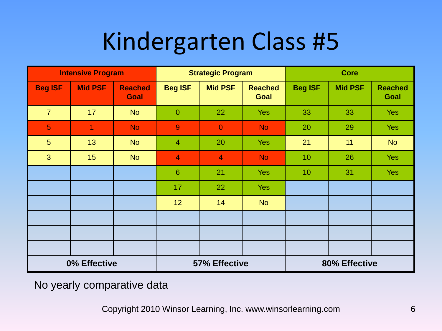| <b>Intensive Program</b> |                |                               | <b>Strategic Program</b> |                | <b>Core</b>                   |                |                |                        |
|--------------------------|----------------|-------------------------------|--------------------------|----------------|-------------------------------|----------------|----------------|------------------------|
| <b>Beg ISF</b>           | <b>Mid PSF</b> | <b>Reached</b><br><b>Goal</b> | <b>Beg ISF</b>           | <b>Mid PSF</b> | <b>Reached</b><br><b>Goal</b> | <b>Beg ISF</b> | <b>Mid PSF</b> | <b>Reached</b><br>Goal |
| $\overline{7}$           | 17             | <b>No</b>                     | $\theta$                 | 22             | <b>Yes</b>                    | 33             | 33             | <b>Yes</b>             |
| 5 <sup>5</sup>           | $\overline{1}$ | <b>No</b>                     | $\overline{9}$           | $\overline{0}$ | <b>No</b>                     | 20             | 29             | <b>Yes</b>             |
| $5\phantom{.}$           | 13             | <b>No</b>                     | $\overline{4}$           | 20             | <b>Yes</b>                    | 21             | 11             | <b>No</b>              |
| 3                        | 15             | <b>No</b>                     | $\overline{4}$           | $\overline{4}$ | <b>No</b>                     | 10             | 26             | <b>Yes</b>             |
|                          |                |                               | $6\phantom{1}6$          | 21             | <b>Yes</b>                    | 10             | 31             | <b>Yes</b>             |
|                          |                |                               | 17                       | 22             | <b>Yes</b>                    |                |                |                        |
|                          |                |                               | 12                       | 14             | <b>No</b>                     |                |                |                        |
|                          |                |                               |                          |                |                               |                |                |                        |
|                          |                |                               |                          |                |                               |                |                |                        |
|                          |                |                               |                          |                |                               |                |                |                        |
| 0% Effective             |                |                               | 57% Effective            |                |                               | 80% Effective  |                |                        |

No yearly comparative data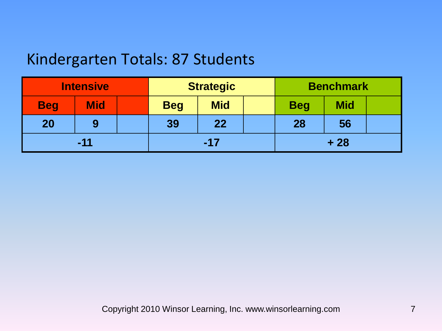### Kindergarten Totals: 87 Students

| <b>Intensive</b> |            |  | <b>Strategic</b> |            |       | <b>Benchmark</b> |            |  |
|------------------|------------|--|------------------|------------|-------|------------------|------------|--|
| <b>Beg</b>       | <b>Mid</b> |  | <b>Beg</b>       | <b>Mid</b> |       | <b>Beg</b>       | <b>Mid</b> |  |
| 20               | 9          |  | 39               | 22         |       | 28               | 56         |  |
| $-11$            |            |  | $-17$            |            | $+28$ |                  |            |  |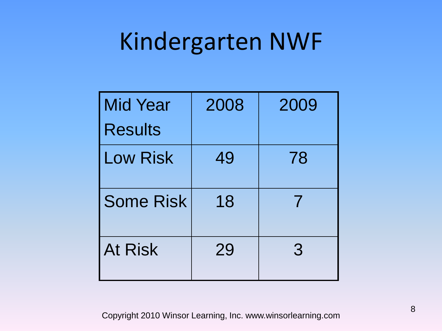### Kindergarten NWF

| <b>Mid Year</b>  | 2008 | 2009 |
|------------------|------|------|
| <b>Results</b>   |      |      |
| <b>Low Risk</b>  | 49   | 78   |
| <b>Some Risk</b> | 18   |      |
| <b>At Risk</b>   | 29   | 3    |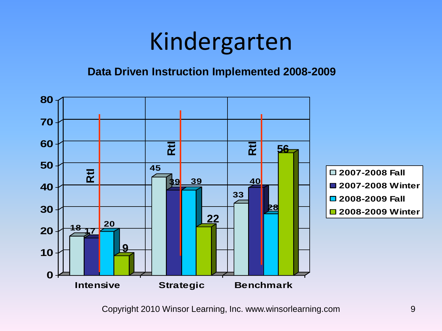### Kindergarten

#### **Data Driven Instruction Implemented 2008-2009**

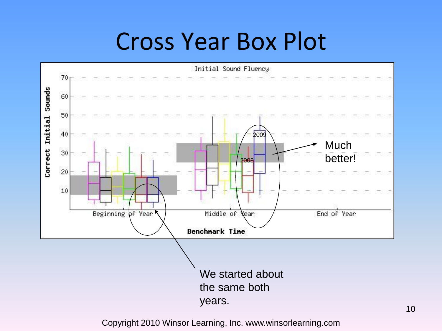### Cross Year Box Plot